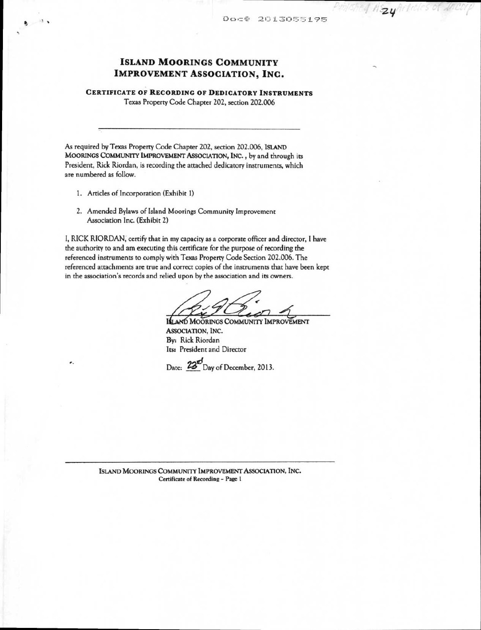hayhelicles of ance

# **ISLAND MOORINGS COMMUNITY IMPROVEMENT ASSOCIATION, INC.**

# **CERTIFICATE OF RECORDING OF DEDICATORY INSTRUMENTS**

Texas Property Code Chapter 202, section 202.006

As required by Texas Property Code Chapter 202, section 202.006, **ISLAND MOORINGS COMMUNITY IMPROVEMENT ASSOCIATION, INC. ,** by and through its President, Rick Riordan, is recording the attached dedicatory instruments, which are numbered as follow.

1. Articles of Incorporation (Exhibit 1)

×.

 $\bullet$   $\bullet$ 

2. Amended Bylaws of Island Moorings Community Improvement Association Inc. (Exhibit 2)

I, RICK RIORDAN, certify that in my capacity as a corporate officer and director, I have the authority to and am executing this certificate for the purpose of recording the referenced instruments to comply with Texas Property Code Section 202.006. The referenced attachments are true and correct copies of the instruments that have been kept in the association's records and relied upon by the association and its owners.

**<sup>A</sup>Se** *r40* 

**ISLAND MOORINGS COMMUNITY IMPROVEMENT ASSOCIATION, INC.**  By: Rick Riordan Its: President and Director

Date:  $\frac{23^{n}}{n}$ Day of December, 2013.

**ISLAND MOORINGS COMMUNITY IMPROVEMENT ASSOCIATION, INC. Certificate of Recording - Page 1**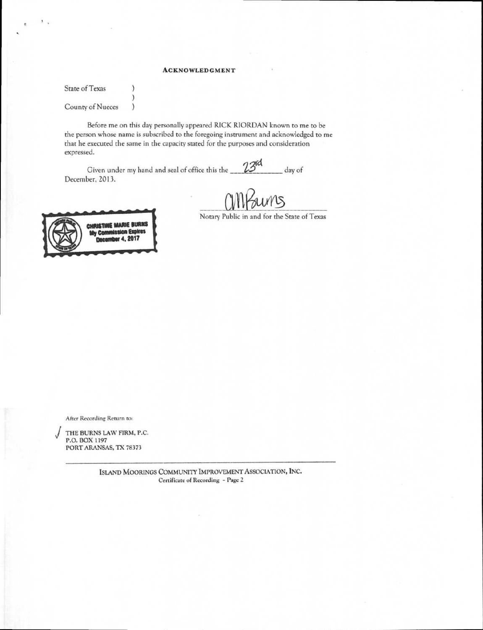# **ACKNOWLEDGMENT**

State of Texas County of Nueces )

 $\mathcal{E}$  $\mathcal{E}$ 

 $\frac{1}{2}$ 

Before me on this day personally appeared RICK RIORDAN known to me to be the person whose name is subscribed to the foregoing instrument and acknowledged to me that he executed the same in the capacity stated for the purposes and consideration expressed.

Given under my hand and seal of office this the  $23<sup>rd</sup>$  day of December, 2013.

ums

CHRISTINE MARIE BURNS<br>My Commission Expires comber 4, 2017

Notary Public in and for the State of Texas

**After Recording Return to:** 

**J THE BURNS LAW FIRM, P.C. P.O. BOX 1197 PORT ARANSAS, TX 78373** 

> **ISLAND MOORINGS COMMUNITY IMPROVEMENT ASSOCIATION, INC. Certificate of Recording - Page** 2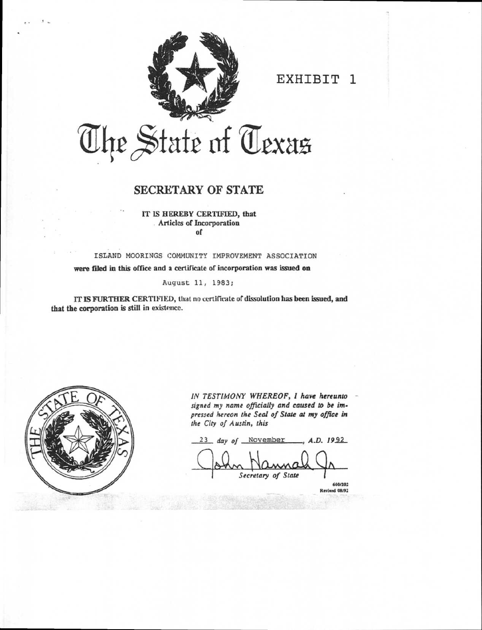

EXHIBIT 1

# The State of Texas

# SECRETARY OF STATE

IT IS HEREBY CERTIFIED, that Articles of Incorporation of

ISLAND MOORINGS COMMUNITY IMPROVEMENT ASSOCIATION were filed in this office and a certificate of incorporation was issued on

August 11, 1983;

IT IS FURTHER CERTIFIED, that no certificate of dissolution has been issued, and that the corporation is still in existence.



*IN TESTIMONY WHEREOF, I have hereunto signed my name officially and caused to be impressed hereon the Seal of State at my office in the City of Austin, this* 

23 day of <u>November</u> , A.D. 1992

*Secretary of State*  600/202

Revised 08/92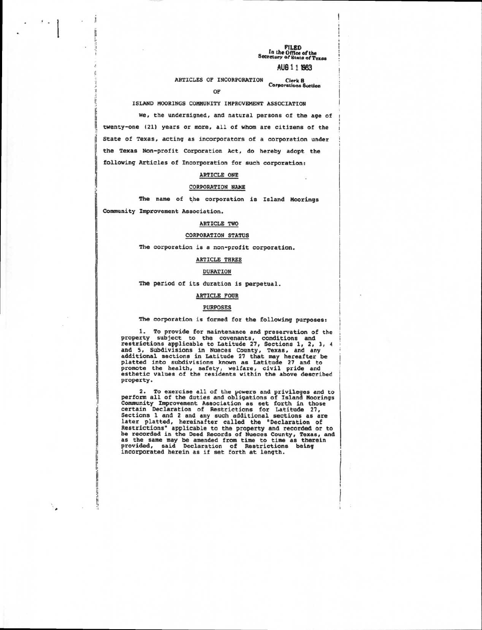**FILED In the Office of the**  Secreta <sup>r</sup>y or state of Texas

# AU6 1 1 1983

ARTICLES OF INCORPORATION Clerk <sup>B</sup> Corporations Suction OF

#### ISLAND MOORINGS COMMUNITY IMPROVEMENT ASSOCIATION

We, the undersigned, and natural persons of the age of twenty-one (21) years or more, all of whom are citizens of the State of Texas, acting as incorporators of a corporation under the Texas Non-profit Corporation Act, do hereby adopt the following Articles of Incorporation for such corporation:

#### ARTICLE ONE

#### CORPORATION NAME

The name of the corporation is Island Moorings

Community Improvement Association.

!

 $\mathcal{E}_{\mathbf{z}}$ 

 $\cdot$  .

## ARTICLE TWO

#### CORPORATION STATUS

The corporation is a non-profit corporation.

#### ARTICLE THREE

#### DURATION

The period of its duration is perpetual.

#### ARTICLE FOUR

#### PURPOSES

#### The corporation is formed for the following purposes:

1. To provide for maintenance and preservation of the property subject to the covenants, conditions and restrictions applicable to Latitude 27, Sections 1, 2, 3, 4 and 5, Subdivisions in Nueces County, Texas, and any<br>additional sections in Latitude 27 that may hereafter be<br>platted into subdivisions known as Latitude 27 and to<br>promote the health, safety, welfare, civil pride and<br>esthe property.

2. To exercise all of the powers and privileges and to<br>perform all of the duties and obligations of Island Moorings<br>Community Improvement Association as set forth in those<br>certain Declaration of Restrictions for Latitude 2 Sections 1 and 2 and any such additional sections as are later platted, hereinafter called the "Declaration of Restrictions" applicable to the property and recorded or to be recorded in the Deed Records of Nueces County, Texas, and as the same may be amended from time to time as therein provided, said Declaration of Restrictions being incorporated herein as if set forth at length.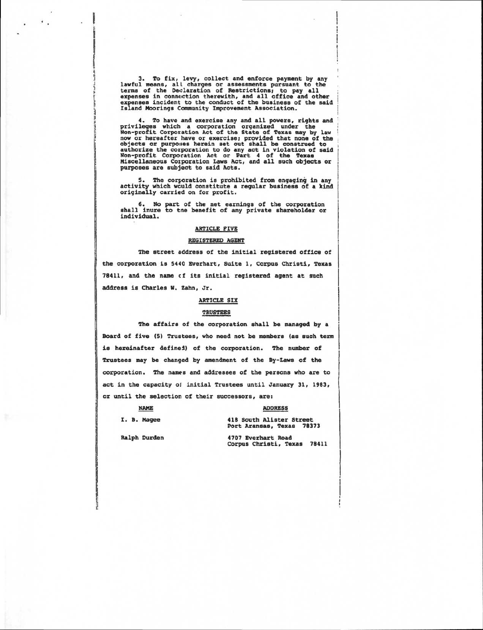3. To fix, levy, collect and enforce payment by any lawful means, all charges or assessments pursuant to the terms of the Declaration of Restrictions: to pay all expenses in connection therewith, and all office and other expenses incident to the conduct of the business of the said Island Moorings Community Improvement Association.

4. To have and exercise any and all powers, rights and privileges which a corporation organized under the Non-profit Corporation Act of the State of Texas may by law now or hereafter have or exercise; provided that none of the<br>objects or purposes herein set out shall be construed to<br>authorize the corporation to do any act in violation of said<br>Non-profit Corporation Act or Part 4 of the purposes are subject to said Acts.

5. The corporation is prohibited from engaging in any activity which would constitute a regular business of a kind originally carried on for profit.

6. No part of the net earnings of the corporation shall inure to tae benefit of any private shareholder or individual.

### ARTICLE FIVE

#### REGISTERED AGENT

The street address of the initial registered office of the corporation is 5440 Everhart, Suite 1, Corpus Christi, Texas 78411, and the name et its initial registered agent at such address is Charles W. Zahn, Jr.

#### ARTICLE SIX

#### TRUSTEES

The affairs of the corporation shall be managed by a Board of five (5) Trustees, who need not be members (as such term is hereinafter definei) of the corporation. The number of Trustees may be changed by amendment of the By-Laws of the corporation. The names and addresses of the persons who are to act in the capacity ol initial Trustees until January 31, 1983, or until the selection of their successors, are:

## NAME ADDRESS

II

 $\mathcal{L}_{\rm{max}}$  .

I. B. Magee 418 South Alister Street Port Aransas, Texas 78373

Ralph Durden 4707 Everhart Road Corpus Christi, Texas 78411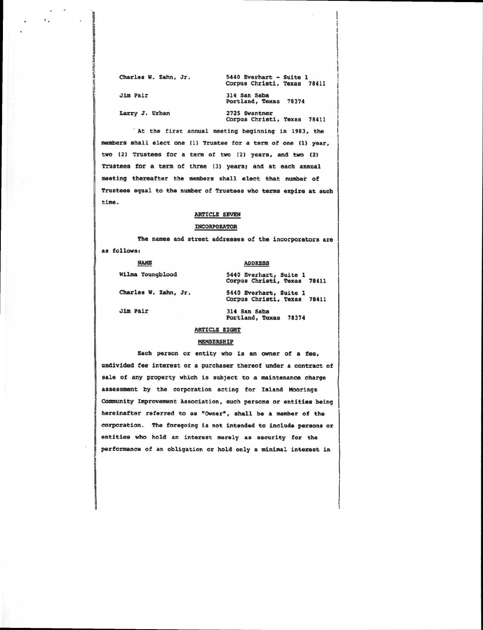Charles W. Zahn, Jr. 5440 Everhart - Suite 1 Corpus Christi, Texas 78411

Jim Pair 314 San Saba Portland, Texas 78374

 $\mathcal{L}_{\mathcal{L}}$ 

Larry J. Urban 2725 Swantner Corpus Christi, Texas 78411

At the first annual meeting beginning in 1983, the members shall elect one (1) Trustee for a term of one (1) year, two (2) Trustees for a term of two (2) years, and two (2) Trustees for a term of three (3) years; and at each annual meeting thereafter the members shall elect that number of Trustees equal to the number of Trustees who terms expire at such time.

#### ARTICLE SEVEN

#### INCORPORATOR

The names and street addresses of the incorporators are as follows:

NAME ADDRESS

Jim Pair 314 San Saba

Wilma Youngblood 5440 Everhart, Suite 1 Corpus Christi, Texas 78411 Charles W. Zahn, Jr. 5440 Everhart, Suite 1

Corpus Christi, Texas 78411

Portland, Texas 78374

#### ARTICLE EIGHT

#### MEMBERSHIP

Each person or entity who is an owner of a fee,

undivided fee interest or a purchaser thereof under a contract of sale of any property which is subject to a maintenance charge assessment by the corporation acting for Island Moorings Community Improvement Association, such persons or entities being hereinafter referred to as \*Owner", shall be a member of the corporation. The foregoing is not intended to include persons or entities who hold an interest merely as security for the performance of an obligation or hold only a minimal interest in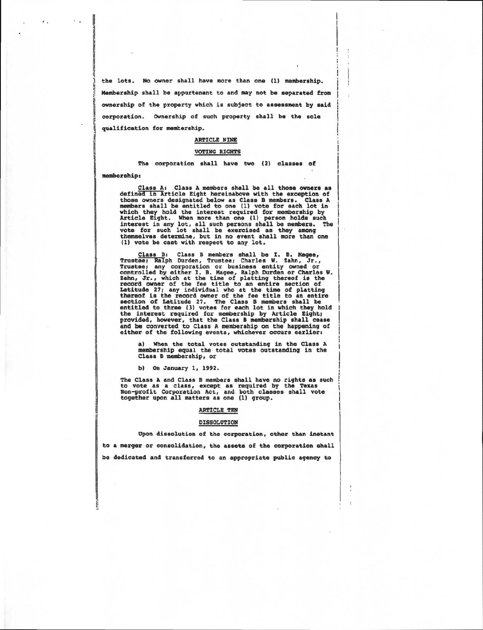the lots. No owner shall have more than one (1) membership. Membership shall be appurtenant to and may not be separated from ownership of the property which is subject to assessment by said corporation. Ownership of such property shall be the sole qualification for membership.

 $\ddotsc$ 

#### ARTICLE NINE

#### VOTING RIGHTS

The corporation shall have two (2) **classes of membership:** 

**Class A: Class A members shall be all those owners as defined in Article Eight hereinabove with the exception of those owners designated below as Class B members. Class A members shall be entitled to one (1) vote for each lot in**  which they hold the interest required for membership by<br>Article Eight. When more than one (1) person holds such<br>interest in any lot, all such persons shall be members. The<br>vote for such lot shall be exercised as they among

Class B: Class B members shall be I. B. Magee,<br>Trustee; Ralph Durden, Trustee; Charles W. Zahn, Jr.,<br>Trustee; any corporation or business entity owned or<br>controlled by either I. B. Magee, Ralph Durden or Charles W.<br>Zahn, J Latitude 27; any individual who at the time of platting thereof is the record owner of the fee title to an entire<br>section of Latitude 27. The Class B members shall be<br>entitled to three (3) votes for each lot in which they hold<br>the interest required for membership by Article Eig either of the following events, whichever occurs earlier:

a) When the total votes outstanding in the Class A membership equal the total votes outstanding in the Class **B membership, or** 

b) On January 1, 1992.

The Class A and Class B members shall have no rights as such to vote as a class, except as required by the Texas Non-profit Corporation Act, and both classes shall vote together upon all matters as one (1) group.

#### ARTICLE TEN

#### DISSOLUTION

Upon dissolution of the corporation, other than instant to a merger or consolidation, the assets of the corporation shall be dedicated and transferred to an appropriate public agency to

ţ.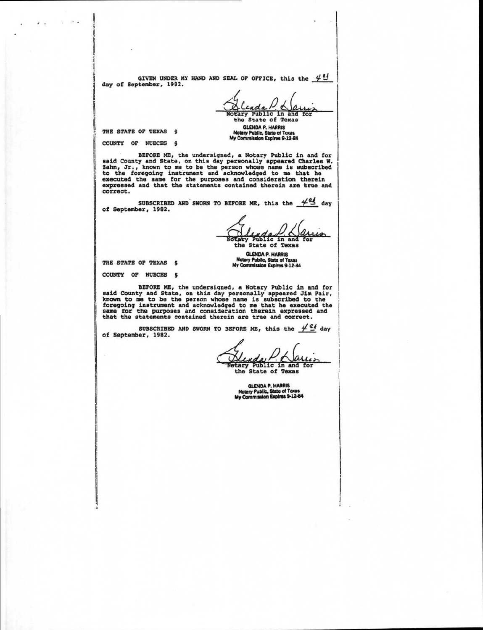GIVEN UNDER MY HAND AND SEAL OF OFFICE, this the  $44$ day of September, 1982.

beary Public in and for the State of Texas GLENDA P. HARRIS

Notary Public, State of Tex My Commission Expires 9.12.84

THE STATE OF TEXAS §

χ.,

COUNTY OF NUECES §

BEFORE ME, the undersigned, a Notary Public in and for said County and State, on this day personally appeared Charles W.<br>Zahn, Jr., known to me to be the person whose name is subscribed<br>to the foregoing instrument and acknowledged to me that he<br>executed the same for the purpos correct.

SUBSCRIBED AND SWORN TO BEFORE ME, this the  $44$  day of September, 1982.

ıo Notary Public in and<br>the State of Texas

GLENDA P. HARRIS Notary Public, State of Texas My Commission Expires 9.1244

THE STATE OF TEXAS §

COUNTY OF NUECES S

BEFORE ME, the undersigned, a Notary Public in and for<br>said County and State, on this day personally appeared Jim Pair,<br>known to me to be the person whose name is subsecribed to the<br>foregoing instrument and acknowledged to

SUBSCRIBED AND SWORN TO BEFORE ME, this the  $4^{\underline{e}}$  day of September, 1982.

ary Public in and for the State of Texas

GLENDA P. HARRIS Notary Public. State of Taxes My Commission Expires 9-12-84